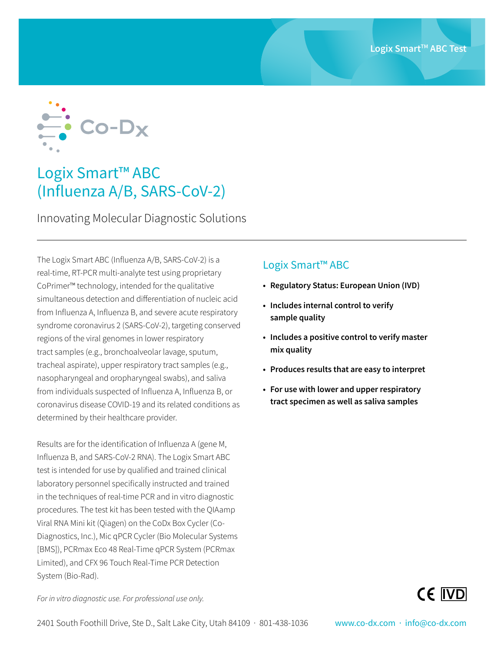

## Logix Smart™ ABC (Influenza A/B, SARS-CoV-2)

Innovating Molecular Diagnostic Solutions

The Logix Smart ABC (Influenza A/B, SARS-CoV-2) is a real-time, RT-PCR multi-analyte test using proprietary CoPrimer™ technology, intended for the qualitative simultaneous detection and differentiation of nucleic acid from Influenza A, Influenza B, and severe acute respiratory syndrome coronavirus 2 (SARS-CoV-2), targeting conserved regions of the viral genomes in lower respiratory tract samples (e.g., bronchoalveolar lavage, sputum, tracheal aspirate), upper respiratory tract samples (e.g., nasopharyngeal and oropharyngeal swabs), and saliva from individuals suspected of Influenza A, Influenza B, or coronavirus disease COVID-19 and its related conditions as determined by their healthcare provider.

Results are for the identification of Influenza A (gene M, Influenza B, and SARS-CoV-2 RNA). The Logix Smart ABC test is intended for use by qualified and trained clinical laboratory personnel specifically instructed and trained in the techniques of real-time PCR and in vitro diagnostic procedures. The test kit has been tested with the QIAamp Viral RNA Mini kit (Qiagen) on the CoDx Box Cycler (Co-Diagnostics, Inc.), Mic qPCR Cycler (Bio Molecular Systems [BMS]), PCRmax Eco 48 Real-Time qPCR System (PCRmax Limited), and CFX 96 Touch Real-Time PCR Detection System (Bio-Rad).

## Logix Smart™ ABC

- **• Regulatory Status: European Union (IVD)**
- **• Includes internal control to verify sample quality**
- **• Includes a positive control to verify master mix quality**
- **• Produces results that are easy to interpret**
- **• For use with lower and upper respiratory tract specimen as well as saliva samples**



*For in vitro diagnostic use. For professional use only.*